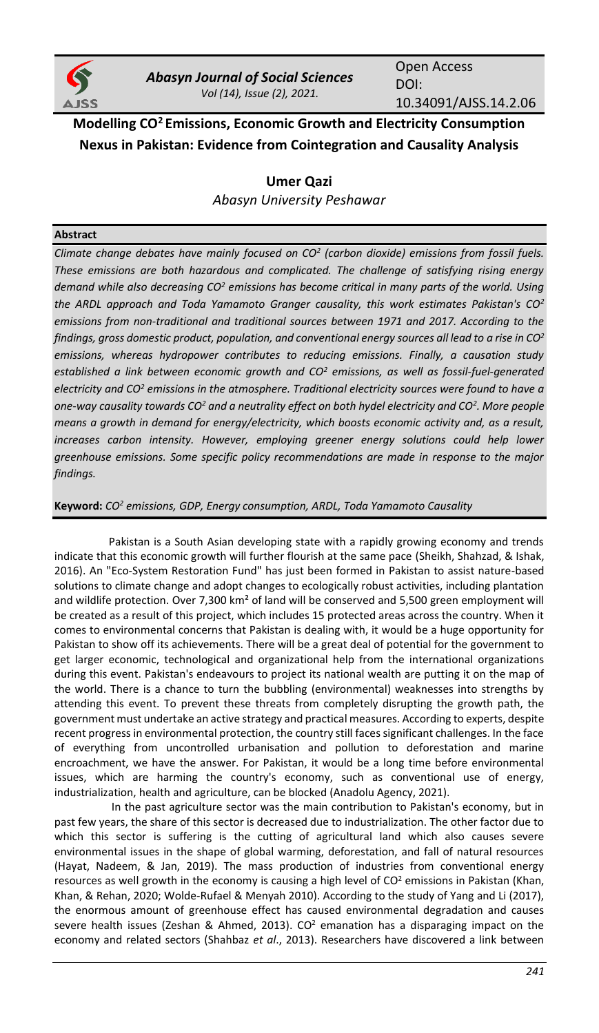

*Abasyn Journal of Social Sciences Vol (14), Issue (2), 2021.*

Open Access DOI: 10.34091/AJSS.14.2.06

**Modelling CO<sup>2</sup>Emissions, Economic Growth and Electricity Consumption Nexus in Pakistan: Evidence from Cointegration and Causality Analysis**

> **Umer Qazi** *Abasyn University Peshawar*

# **Abstract**

*Climate change debates have mainly focused on CO<sup>2</sup> (carbon dioxide) emissions from fossil fuels. These emissions are both hazardous and complicated. The challenge of satisfying rising energy demand while also decreasing CO<sup>2</sup> emissions has become critical in many parts of the world. Using the ARDL approach and Toda Yamamoto Granger causality, this work estimates Pakistan's CO<sup>2</sup> emissions from non-traditional and traditional sources between 1971 and 2017. According to the findings, gross domestic product, population, and conventional energy sources all lead to a rise in CO<sup>2</sup> emissions, whereas hydropower contributes to reducing emissions. Finally, a causation study established a link between economic growth and CO<sup>2</sup> emissions, as well as fossil-fuel-generated electricity and CO<sup>2</sup> emissions in the atmosphere. Traditional electricity sources were found to have a one-way causality towards CO<sup>2</sup> and a neutrality effect on both hydel electricity and CO<sup>2</sup> . More people means a growth in demand for energy/electricity, which boosts economic activity and, as a result, increases carbon intensity. However, employing greener energy solutions could help lower greenhouse emissions. Some specific policy recommendations are made in response to the major findings.*

# **Keyword:** *CO<sup>2</sup> emissions, GDP, Energy consumption, ARDL, Toda Yamamoto Causality*

Pakistan is a South Asian developing state with a rapidly growing economy and trends indicate that this economic growth will further flourish at the same pace (Sheikh, Shahzad, & Ishak, 2016). An "Eco-System Restoration Fund" has just been formed in Pakistan to assist nature-based solutions to climate change and adopt changes to ecologically robust activities, including plantation and wildlife protection. Over 7,300 km<sup>2</sup> of land will be conserved and 5,500 green employment will be created as a result of this project, which includes 15 protected areas across the country. When it comes to environmental concerns that Pakistan is dealing with, it would be a huge opportunity for Pakistan to show off its achievements. There will be a great deal of potential for the government to get larger economic, technological and organizational help from the international organizations during this event. Pakistan's endeavours to project its national wealth are putting it on the map of the world. There is a chance to turn the bubbling (environmental) weaknesses into strengths by attending this event. To prevent these threats from completely disrupting the growth path, the government must undertake an active strategy and practical measures. According to experts, despite recent progress in environmental protection, the country still faces significant challenges. In the face of everything from uncontrolled urbanisation and pollution to deforestation and marine encroachment, we have the answer. For Pakistan, it would be a long time before environmental issues, which are harming the country's economy, such as conventional use of energy, industrialization, health and agriculture, can be blocked (Anadolu Agency, 2021).

In the past agriculture sector was the main contribution to Pakistan's economy, but in past few years, the share of this sector is decreased due to industrialization. The other factor due to which this sector is suffering is the cutting of agricultural land which also causes severe environmental issues in the shape of global warming, deforestation, and fall of natural resources (Hayat, Nadeem, & Jan, 2019). The mass production of industries from conventional energy resources as well growth in the economy is causing a high level of  $CO<sup>2</sup>$  emissions in Pakistan (Khan, Khan, & Rehan, 2020; Wolde-Rufael & Menyah 2010). According to the study of Yang and Li (2017), the enormous amount of greenhouse effect has caused environmental degradation and causes severe health issues (Zeshan & Ahmed, 2013).  $CO<sup>2</sup>$  emanation has a disparaging impact on the economy and related sectors (Shahbaz *et al*., 2013). Researchers have discovered a link between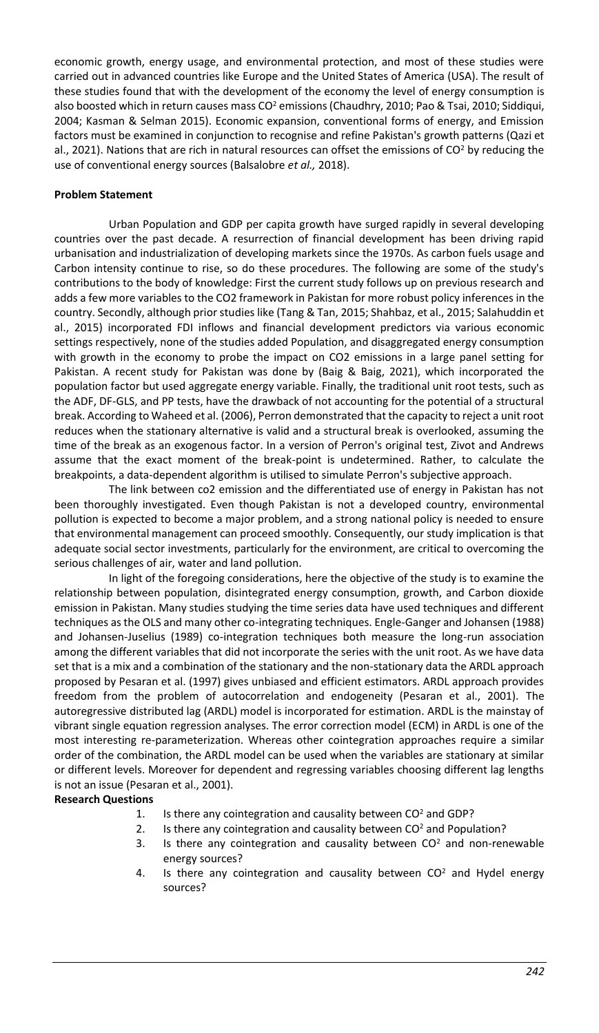economic growth, energy usage, and environmental protection, and most of these studies were carried out in advanced countries like Europe and the United States of America (USA). The result of these studies found that with the development of the economy the level of energy consumption is also boosted which in return causes mass CO<sup>2</sup> emissions (Chaudhry, 2010; Pao & Tsai, 2010; Siddiqui, 2004; Kasman & Selman 2015). Economic expansion, conventional forms of energy, and Emission factors must be examined in conjunction to recognise and refine Pakistan's growth patterns (Qazi et al., 2021). Nations that are rich in natural resources can offset the emissions of  $CO<sup>2</sup>$  by reducing the use of conventional energy sources (Balsalobre *et al.,* 2018).

# **Problem Statement**

Urban Population and GDP per capita growth have surged rapidly in several developing countries over the past decade. A resurrection of financial development has been driving rapid urbanisation and industrialization of developing markets since the 1970s. As carbon fuels usage and Carbon intensity continue to rise, so do these procedures. The following are some of the study's contributions to the body of knowledge: First the current study follows up on previous research and adds a few more variables to the CO2 framework in Pakistan for more robust policy inferences in the country. Secondly, although prior studies like (Tang & Tan, 2015; Shahbaz, et al., 2015; Salahuddin et al., 2015) incorporated FDI inflows and financial development predictors via various economic settings respectively, none of the studies added Population, and disaggregated energy consumption with growth in the economy to probe the impact on CO2 emissions in a large panel setting for Pakistan. A recent study for Pakistan was done by (Baig & Baig, 2021), which incorporated the population factor but used aggregate energy variable. Finally, the traditional unit root tests, such as the ADF, DF-GLS, and PP tests, have the drawback of not accounting for the potential of a structural break. According to Waheed et al. (2006), Perron demonstrated that the capacity to reject a unit root reduces when the stationary alternative is valid and a structural break is overlooked, assuming the time of the break as an exogenous factor. In a version of Perron's original test, Zivot and Andrews assume that the exact moment of the break-point is undetermined. Rather, to calculate the breakpoints, a data-dependent algorithm is utilised to simulate Perron's subjective approach.

The link between co2 emission and the differentiated use of energy in Pakistan has not been thoroughly investigated. Even though Pakistan is not a developed country, environmental pollution is expected to become a major problem, and a strong national policy is needed to ensure that environmental management can proceed smoothly. Consequently, our study implication is that adequate social sector investments, particularly for the environment, are critical to overcoming the serious challenges of air, water and land pollution.

In light of the foregoing considerations, here the objective of the study is to examine the relationship between population, disintegrated energy consumption, growth, and Carbon dioxide emission in Pakistan. Many studies studying the time series data have used techniques and different techniques as the OLS and many other co-integrating techniques. Engle-Ganger and Johansen (1988) and Johansen-Juselius (1989) co-integration techniques both measure the long-run association among the different variables that did not incorporate the series with the unit root. As we have data set that is a mix and a combination of the stationary and the non-stationary data the ARDL approach proposed by Pesaran et al. (1997) gives unbiased and efficient estimators. ARDL approach provides freedom from the problem of autocorrelation and endogeneity (Pesaran et al., 2001). The autoregressive distributed lag (ARDL) model is incorporated for estimation. ARDL is the mainstay of vibrant single equation regression analyses. The error correction model (ECM) in ARDL is one of the most interesting re-parameterization. Whereas other cointegration approaches require a similar order of the combination, the ARDL model can be used when the variables are stationary at similar or different levels. Moreover for dependent and regressing variables choosing different lag lengths is not an issue (Pesaran et al., 2001).

### **Research Questions**

- 1. Is there any cointegration and causality between CO<sup>2</sup> and GDP?
- 2. Is there any cointegration and causality between  $CO<sup>2</sup>$  and Population?
- 3. Is there any cointegration and causality between  $CO<sup>2</sup>$  and non-renewable energy sources?
- 4. Is there any cointegration and causality between  $CO<sup>2</sup>$  and Hydel energy sources?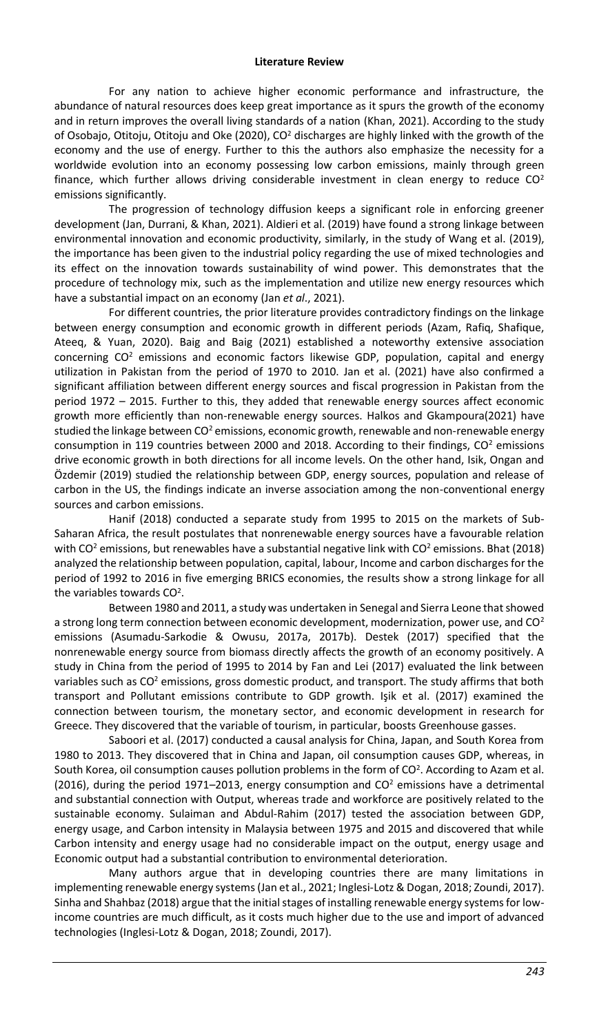For any nation to achieve higher economic performance and infrastructure, the abundance of natural resources does keep great importance as it spurs the growth of the economy and in return improves the overall living standards of a nation (Khan, 2021). According to the study of Osobajo, Otitoju, Otitoju and Oke (2020), CO<sup>2</sup> discharges are highly linked with the growth of the economy and the use of energy. Further to this the authors also emphasize the necessity for a worldwide evolution into an economy possessing low carbon emissions, mainly through green finance, which further allows driving considerable investment in clean energy to reduce  $CO<sup>2</sup>$ emissions significantly.

The progression of technology diffusion keeps a significant role in enforcing greener development (Jan, Durrani, & Khan, 2021). Aldieri et al. (2019) have found a strong linkage between environmental innovation and economic productivity, similarly, in the study of Wang et al. (2019), the importance has been given to the industrial policy regarding the use of mixed technologies and its effect on the innovation towards sustainability of wind power. This demonstrates that the procedure of technology mix, such as the implementation and utilize new energy resources which have a substantial impact on an economy (Jan *et al*., 2021).

For different countries, the prior literature provides contradictory findings on the linkage between energy consumption and economic growth in different periods (Azam, Rafiq, Shafique, Ateeq, & Yuan, 2020). Baig and Baig (2021) established a noteworthy extensive association concerning  $CO<sup>2</sup>$  emissions and economic factors likewise GDP, population, capital and energy utilization in Pakistan from the period of 1970 to 2010. Jan et al. (2021) have also confirmed a significant affiliation between different energy sources and fiscal progression in Pakistan from the period 1972 – 2015. Further to this, they added that renewable energy sources affect economic growth more efficiently than non-renewable energy sources. Halkos and Gkampoura(2021) have studied the linkage between CO<sup>2</sup> emissions, economic growth, renewable and non-renewable energy consumption in 119 countries between 2000 and 2018. According to their findings,  $CO<sup>2</sup>$  emissions drive economic growth in both directions for all income levels. On the other hand, Isik, Ongan and Özdemir (2019) studied the relationship between GDP, energy sources, population and release of carbon in the US, the findings indicate an inverse association among the non-conventional energy sources and carbon emissions.

Hanif (2018) conducted a separate study from 1995 to 2015 on the markets of Sub-Saharan Africa, the result postulates that nonrenewable energy sources have a favourable relation with CO<sup>2</sup> emissions, but renewables have a substantial negative link with CO<sup>2</sup> emissions. Bhat (2018) analyzed the relationship between population, capital, labour, Income and carbon discharges for the period of 1992 to 2016 in five emerging BRICS economies, the results show a strong linkage for all the variables towards  $CO<sup>2</sup>$ .

Between 1980 and 2011, a study was undertaken in Senegal and Sierra Leone that showed a strong long term connection between economic development, modernization, power use, and  $CO<sup>2</sup>$ emissions (Asumadu-Sarkodie & Owusu, 2017a, 2017b). Destek (2017) specified that the nonrenewable energy source from biomass directly affects the growth of an economy positively. A study in China from the period of 1995 to 2014 by Fan and Lei (2017) evaluated the link between variables such as  $CO<sup>2</sup>$  emissions, gross domestic product, and transport. The study affirms that both transport and Pollutant emissions contribute to GDP growth. Işik et al. (2017) examined the connection between tourism, the monetary sector, and economic development in research for Greece. They discovered that the variable of tourism, in particular, boosts Greenhouse gasses.

Saboori et al. (2017) conducted a causal analysis for China, Japan, and South Korea from 1980 to 2013. They discovered that in China and Japan, oil consumption causes GDP, whereas, in South Korea, oil consumption causes pollution problems in the form of CO<sup>2</sup> . According to Azam et al. (2016), during the period 1971–2013, energy consumption and  $CO<sup>2</sup>$  emissions have a detrimental and substantial connection with Output, whereas trade and workforce are positively related to the sustainable economy. Sulaiman and Abdul-Rahim (2017) tested the association between GDP, energy usage, and Carbon intensity in Malaysia between 1975 and 2015 and discovered that while Carbon intensity and energy usage had no considerable impact on the output, energy usage and Economic output had a substantial contribution to environmental deterioration.

Many authors argue that in developing countries there are many limitations in implementing renewable energy systems (Jan et al., 2021; Inglesi-Lotz & Dogan, 2018; Zoundi, 2017). Sinha and Shahbaz (2018) argue that the initial stages of installing renewable energy systems for lowincome countries are much difficult, as it costs much higher due to the use and import of advanced technologies (Inglesi-Lotz & Dogan, 2018; Zoundi, 2017).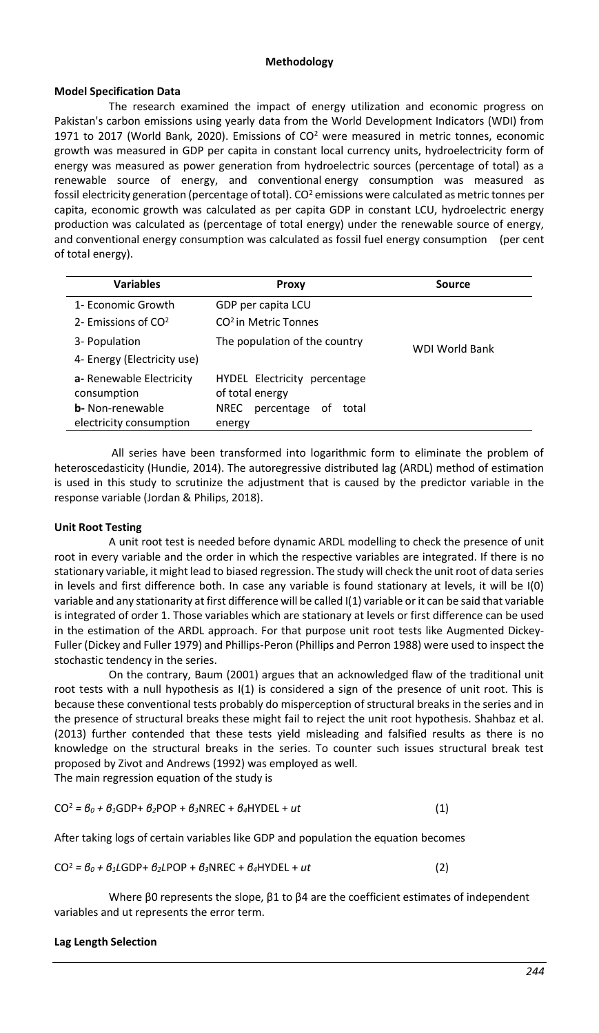#### **Methodology**

#### **Model Specification Data**

The research examined the impact of energy utilization and economic progress on Pakistan's carbon emissions using yearly data from the World Development Indicators (WDI) from 1971 to 2017 (World Bank, 2020). Emissions of  $CO<sup>2</sup>$  were measured in metric tonnes, economic growth was measured in GDP per capita in constant local currency units, hydroelectricity form of energy was measured as power generation from hydroelectric sources (percentage of total) as a renewable source of energy, and conventional energy consumption was measured as fossil electricity generation (percentage of total).  $CO<sup>2</sup>$  emissions were calculated as metric tonnes per capita, economic growth was calculated as per capita GDP in constant LCU, hydroelectric energy production was calculated as (percentage of total energy) under the renewable source of energy, and conventional energy consumption was calculated as fossil fuel energy consumption (per cent of total energy).

| <b>Variables</b>                                                                               | Proxy                                                                                          | Source                |
|------------------------------------------------------------------------------------------------|------------------------------------------------------------------------------------------------|-----------------------|
| 1- Economic Growth                                                                             | GDP per capita LCU                                                                             |                       |
| 2- Emissions of $CO2$                                                                          | CO <sup>2</sup> in Metric Tonnes                                                               |                       |
| 3- Population                                                                                  | The population of the country                                                                  | <b>WDI World Bank</b> |
| 4- Energy (Electricity use)                                                                    |                                                                                                |                       |
| a- Renewable Electricity<br>consumption<br><b>b</b> - Non-renewable<br>electricity consumption | HYDEL Electricity percentage<br>of total energy<br>percentage<br>NREC<br>total<br>ot<br>energy |                       |

All series have been transformed into logarithmic form to eliminate the problem of heteroscedasticity (Hundie, 2014). The autoregressive distributed lag (ARDL) method of estimation is used in this study to scrutinize the adjustment that is caused by the predictor variable in the response variable (Jordan & Philips, 2018).

### **Unit Root Testing**

A unit root test is needed before dynamic ARDL modelling to check the presence of unit root in every variable and the order in which the respective variables are integrated. If there is no stationary variable, it might lead to biased regression. The study will check the unit root of data series in levels and first difference both. In case any variable is found stationary at levels, it will be I(0) variable and any stationarity at first difference will be called I(1) variable or it can be said that variable is integrated of order 1. Those variables which are stationary at levels or first difference can be used in the estimation of the ARDL approach. For that purpose unit root tests like Augmented Dickey-Fuller (Dickey and Fuller 1979) and Phillips-Peron (Phillips and Perron 1988) were used to inspect the stochastic tendency in the series.

On the contrary, Baum (2001) argues that an acknowledged flaw of the traditional unit root tests with a null hypothesis as I(1) is considered a sign of the presence of unit root. This is because these conventional tests probably do misperception of structural breaks in the series and in the presence of structural breaks these might fail to reject the unit root hypothesis. Shahbaz et al. (2013) further contended that these tests yield misleading and falsified results as there is no knowledge on the structural breaks in the series. To counter such issues structural break test proposed by Zivot and Andrews (1992) was employed as well.

The main regression equation of the study is

$$
CO2 = \theta_0 + \theta_1 GDP + \theta_2 POP + \theta_3 NREC + \theta_4 HYDEL + ut
$$
 (1)

After taking logs of certain variables like GDP and population the equation becomes

$$
CO2 = \theta_0 + \theta_1 LGDP + \theta_2 LPOP + \theta_3 NREC + \theta_4 H YDEL + ut
$$
 (2)

Where β0 represents the slope, β1 to β4 are the coefficient estimates of independent variables and ut represents the error term.

### **Lag Length Selection**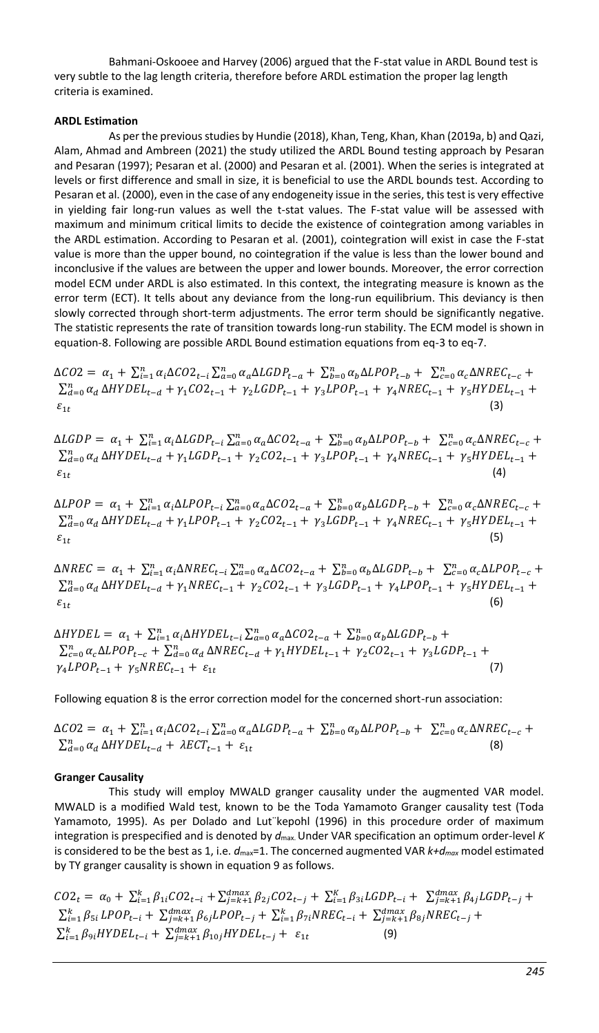Bahmani-Oskooee and Harvey (2006) argued that the F-stat value in ARDL Bound test is very subtle to the lag length criteria, therefore before ARDL estimation the proper lag length criteria is examined.

### **ARDL Estimation**

As per the previous studies by Hundie (2018), Khan, Teng, Khan, Khan (2019a, b) and Qazi, Alam, Ahmad and Ambreen (2021) the study utilized the ARDL Bound testing approach by Pesaran and Pesaran (1997); Pesaran et al. (2000) and Pesaran et al. (2001). When the series is integrated at levels or first difference and small in size, it is beneficial to use the ARDL bounds test. According to Pesaran et al. (2000), even in the case of any endogeneity issue in the series, this test is very effective in yielding fair long-run values as well the t-stat values. The F-stat value will be assessed with maximum and minimum critical limits to decide the existence of cointegration among variables in the ARDL estimation. According to Pesaran et al. (2001), cointegration will exist in case the F-stat value is more than the upper bound, no cointegration if the value is less than the lower bound and inconclusive if the values are between the upper and lower bounds. Moreover, the error correction model ECM under ARDL is also estimated. In this context, the integrating measure is known as the error term (ECT). It tells about any deviance from the long-run equilibrium. This deviancy is then slowly corrected through short-term adjustments. The error term should be significantly negative. The statistic represents the rate of transition towards long-run stability. The ECM model is shown in equation-8. Following are possible ARDL Bound estimation equations from eq-3 to eq-7.

 $\Delta CO2 = \alpha_1 + \sum_{i=1}^n \alpha_i \Delta CO2_{t-i} \sum_{a=0}^n \alpha_a \Delta LGDP_{t-a} + \sum_{b=0}^n \alpha_b \Delta LPOP_{t-b} + \sum_{c=0}^n \alpha_c \Delta NREC_{t-c} +$  $\sum_{d=0}^{n} \alpha_d \Delta H Y DEL_{t-d} + \gamma_1 CO2_{t-1} + \gamma_2 LGDP_{t-1} + \gamma_3 L POP_{t-1} + \gamma_4 NREC_{t-1} + \gamma_5 H Y DEL_{t-1} +$  $\varepsilon_{1t}$ (3)

 $\Delta LGDP = \alpha_1 + \sum_{i=1}^{n} \alpha_i \Delta LGDP_{t-i} \sum_{a=0}^{n} \alpha_a \Delta CO2_{t-a} + \sum_{b=0}^{n} \alpha_b \Delta LPOP_{t-b} + \sum_{c=0}^{n} \alpha_c \Delta NREC_{t-c} +$  $\sum_{d=0}^{n} \alpha_d \Delta H Y DEL_{t-d} + \gamma_1 LGDP_{t-1} + \gamma_2 CO2_{t-1} + \gamma_3 L POP_{t-1} + \gamma_4 NREC_{t-1} + \gamma_5 H Y DEL_{t-1} +$  $\varepsilon_{1t}$ (4)

 $\Delta LPOP = \alpha_1 + \sum_{i=1}^n \alpha_i \Delta LPOP_{t-i} \sum_{a=0}^n \alpha_a \Delta CO2_{t-a} + \sum_{b=0}^n \alpha_b \Delta LGDP_{t-b} + \sum_{c=0}^n \alpha_c \Delta NREC_{t-c} +$  $\sum_{d=0}^{n} \alpha_d \Delta H Y DEL_{t-d} + \gamma_1 L POP_{t-1} + \gamma_2 CO2_{t-1} + \gamma_3 LGDP_{t-1} + \gamma_4 NREC_{t-1} + \gamma_5 H Y DEL_{t-1} +$  $\varepsilon_{1t}$ (5)

 $\Delta NREC = \alpha_1 + \sum_{i=1}^{n} \alpha_i \Delta NREC_{t-i} \sum_{a=0}^{n} \alpha_a \Delta CO2_{t-a} + \sum_{b=0}^{n} \alpha_b \Delta LGDP_{t-b} + \sum_{c=0}^{n} \alpha_c \Delta LPOP_{t-c} +$  $\sum_{d=0}^{n} \alpha_d \Delta H Y D E L_{t-d} + \gamma_1 N R E C_{t-1} + \gamma_2 CO C_{t-1} + \gamma_3 LG D P_{t-1} + \gamma_4 L P O P_{t-1} + \gamma_5 H Y D E L_{t-1} +$  $\varepsilon_{1t}$ (6)

 $\Delta HYDEL = \alpha_1 + \sum_{i=1}^n \alpha_i \Delta HYDEL_{t-i} \sum_{a=0}^n \alpha_a \Delta CO2_{t-a} + \sum_{b=0}^n \alpha_b \Delta LGDP_{t-b} +$  $\sum_{c=0}^{n} \alpha_c \Delta LPOP_{t-c} + \sum_{d=0}^{n} \alpha_d \Delta NREC_{t-d} + \gamma_1 HYDEL_{t-1} + \gamma_2 CO2_{t-1} + \gamma_3 LGDP_{t-1} +$  $\gamma_4\text{LPOP}_{t-1} + \gamma_5\text{NREC}_{t-1} + \varepsilon_{1t}$ (7)

Following equation 8 is the error correction model for the concerned short-run association:

 $\Delta CO2 = \alpha_1 + \sum_{i=1}^n \alpha_i \Delta CO2_{t-i} \sum_{a=0}^n \alpha_a \Delta LGDP_{t-a} + \sum_{b=0}^n \alpha_b \Delta LPOP_{t-b} + \sum_{c=0}^n \alpha_c \Delta NREC_{t-c} +$  $\sum_{d=0}^{n} \alpha_d \Delta H Y D E L_{t-d} + \lambda E C T_{t-1} + \varepsilon_{1t}$ (8)

### **Granger Causality**

This study will employ MWALD granger causality under the augmented VAR model. MWALD is a modified Wald test, known to be the Toda Yamamoto Granger causality test (Toda Yamamoto, 1995). As per Dolado and Lut¨kepohl (1996) in this procedure order of maximum integration is prespecified and is denoted by *d*max. Under VAR specification an optimum order-level *K* is considered to be the best as 1, i.e.  $d_{\text{max}}$ =1. The concerned augmented VAR  $k+d_{\text{max}}$  model estimated by TY granger causality is shown in equation 9 as follows.

 $CO2_t = \alpha_0 + \sum_{i=1}^k \beta_{1i} CO2_{t-i} + \sum_{j=k+1}^{dmax} \beta_{2j} CO2_{t-j} + \sum_{i=1}^K \beta_{3i} LGDP_{t-i} + \sum_{j=k+1}^{dmax} \beta_{4j} LGDP_{t-j} +$  $\sum_{i=1}^{k} \beta_{5i} LPOP_{t-i} + \sum_{j=k+1}^{dmax} \beta_{6j} LPOP_{t-j} + \sum_{i=1}^{k} \beta_{7i} NREC_{t-i} + \sum_{j=k+1}^{dmax} \beta_{8j} NREC_{t-j} +$  $\sum_{i=1}^{k} \beta_{9i} HYDEL_{t-i} + \sum_{j=k+1}^{dmax} \beta_{10j} HYDEL_{t-j} + \varepsilon_{1t}$ (9)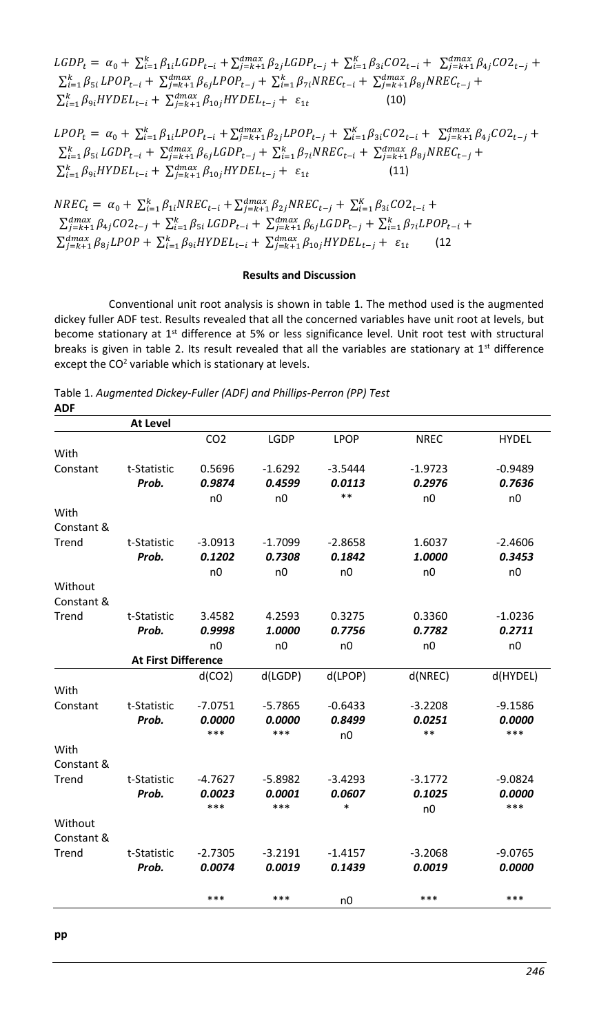$LGDP_t = \alpha_0 + \sum_{i=1}^k \beta_{1i} LGDP_{t-i} + \sum_{j=k+1}^{dmax} \beta_{2j} LGDP_{t-j} + \sum_{i=1}^K \beta_{3i} CO2_{t-i} + \sum_{j=k+1}^{dmax} \beta_{4j} CO2_{t-j} +$  $\sum_{i=1}^{k} \beta_{5i} LPOP_{t-i} + \sum_{j=k+1}^{dmax} \beta_{6j} LPOP_{t-j} + \sum_{i=1}^{k} \beta_{7i} NREC_{t-i} + \sum_{j=k+1}^{dmax} \beta_{8j} NREC_{t-j} +$  $\sum_{i=1}^{k} \beta_{9i} HYDEL_{t-i} + \sum_{j=k+1}^{dmax} \beta_{10j} HYDEL_{t-j} + \varepsilon_{1t}$ (10)

 $LPOP_t = \alpha_0 + \sum_{i=1}^k \beta_{1i} L POP_{t-i} + \sum_{j=k+1}^{dmax} \beta_{2j} L POP_{t-j} + \sum_{i=1}^K \beta_{3i} CO2_{t-i} + \sum_{j=k+1}^{dmax} \beta_{4j} CO2_{t-j} +$  $\sum_{i=1}^{k} \beta_{5i} LGDP_{t-i} + \sum_{j=k+1}^{dmax} \beta_{6j} LGDP_{t-j} + \sum_{i=1}^{k} \beta_{7i} NREC_{t-i} + \sum_{j=k+1}^{dmax} \beta_{8j} NREC_{t-j} +$  $\sum_{i=1}^{k} \beta_{9i} HYDEL_{t-i} + \sum_{j=k+1}^{dmax} \beta_{10j} HYDEL_{t-j} + \varepsilon_{1t}$ (11)

 $NREC_t = \alpha_0 + \sum_{i=1}^{k} \beta_{1i} NREC_{t-i} + \sum_{j=k+1}^{dmax} \beta_{2j} NREC_{t-j} + \sum_{i=1}^{K} \beta_{3i} CO2_{t-i} +$  $\sum_{j=k+1}^{dmax} \beta_{4j} CO2_{t-j} + \sum_{i=1}^{k} \beta_{5i} LGDP_{t-i} + \sum_{j=k+1}^{dmax} \beta_{6j} LGDP_{t-j} + \sum_{i=1}^{k} \beta_{7i} LPOP_{t-i} +$  $\sum_{j=k+1}^{dmax} \beta_{8j} LPOP + \sum_{i=1}^{k} \beta_{9i} HYDEL_{t-i} + \sum_{j=k+1}^{dmax} \beta_{10j} HYDEL_{t-j} + \varepsilon_{1t}$ (12

#### **Results and Discussion**

Conventional unit root analysis is shown in table 1. The method used is the augmented dickey fuller ADF test. Results revealed that all the concerned variables have unit root at levels, but become stationary at 1<sup>st</sup> difference at 5% or less significance level. Unit root test with structural breaks is given in table 2. Its result revealed that all the variables are stationary at  $1<sup>st</sup>$  difference except the CO<sup>2</sup> variable which is stationary at levels.

Table 1. *Augmented Dickey-Fuller (ADF) and Phillips-Perron (PP) Test* **ADF**

|            | At Level                   |                 |                |                  |             |                |
|------------|----------------------------|-----------------|----------------|------------------|-------------|----------------|
|            |                            | CO <sub>2</sub> | LGDP           | <b>LPOP</b>      | <b>NREC</b> | <b>HYDEL</b>   |
| With       |                            |                 |                |                  |             |                |
| Constant   | t-Statistic                | 0.5696          | $-1.6292$      | $-3.5444$        | $-1.9723$   | $-0.9489$      |
|            | Prob.                      | 0.9874          | 0.4599         | 0.0113           | 0.2976      | 0.7636         |
|            |                            | n0              | n <sub>0</sub> | $* *$            | n0          | n <sub>0</sub> |
| With       |                            |                 |                |                  |             |                |
| Constant & |                            |                 |                |                  |             |                |
| Trend      | t-Statistic                | $-3.0913$       | $-1.7099$      | $-2.8658$        | 1.6037      | $-2.4606$      |
|            | Prob.                      | 0.1202          | 0.7308         | 0.1842           | 1.0000      | 0.3453         |
|            |                            | n0              | n0             | n <sub>0</sub>   | n0          | n <sub>0</sub> |
| Without    |                            |                 |                |                  |             |                |
| Constant & |                            |                 |                |                  |             |                |
| Trend      | t-Statistic                | 3.4582          | 4.2593         | 0.3275           | 0.3360      | $-1.0236$      |
|            | Prob.                      | 0.9998          | 1.0000         | 0.7756           | 0.7782      | 0.2711         |
|            |                            | n <sub>0</sub>  | n0             | n0               | n0          | n <sub>0</sub> |
|            | <b>At First Difference</b> |                 |                |                  |             |                |
|            |                            | d(CO2)          | d(LGDP)        | d(LPOP)          | d(NREC)     | d(HYDEL)       |
| With       |                            |                 |                |                  |             |                |
| Constant   | t-Statistic                | $-7.0751$       | $-5.7865$      | $-0.6433$        | $-3.2208$   | $-9.1586$      |
|            | Prob.                      | 0.0000          | 0.0000         | 0.8499           | 0.0251      | 0.0000         |
|            |                            | ***             | ***            | n <sub>0</sub>   | **          | ***            |
| With       |                            |                 |                |                  |             |                |
| Constant & |                            |                 |                |                  |             |                |
| Trend      | t-Statistic                | $-4.7627$       | $-5.8982$      | $-3.4293$        | $-3.1772$   | $-9.0824$      |
|            | Prob.                      | 0.0023<br>***   | 0.0001<br>***  | 0.0607<br>$\ast$ | 0.1025      | 0.0000<br>***  |
|            |                            |                 |                |                  | n0          |                |
| Without    |                            |                 |                |                  |             |                |
| Constant & |                            |                 |                |                  |             |                |
| Trend      | t-Statistic                | $-2.7305$       | $-3.2191$      | $-1.4157$        | $-3.2068$   | $-9.0765$      |
|            | Prob.                      | 0.0074          | 0.0019         | 0.1439           | 0.0019      | 0.0000         |
|            |                            | ***             | ***            | n <sub>0</sub>   | ***         | ***            |
|            |                            |                 |                |                  |             |                |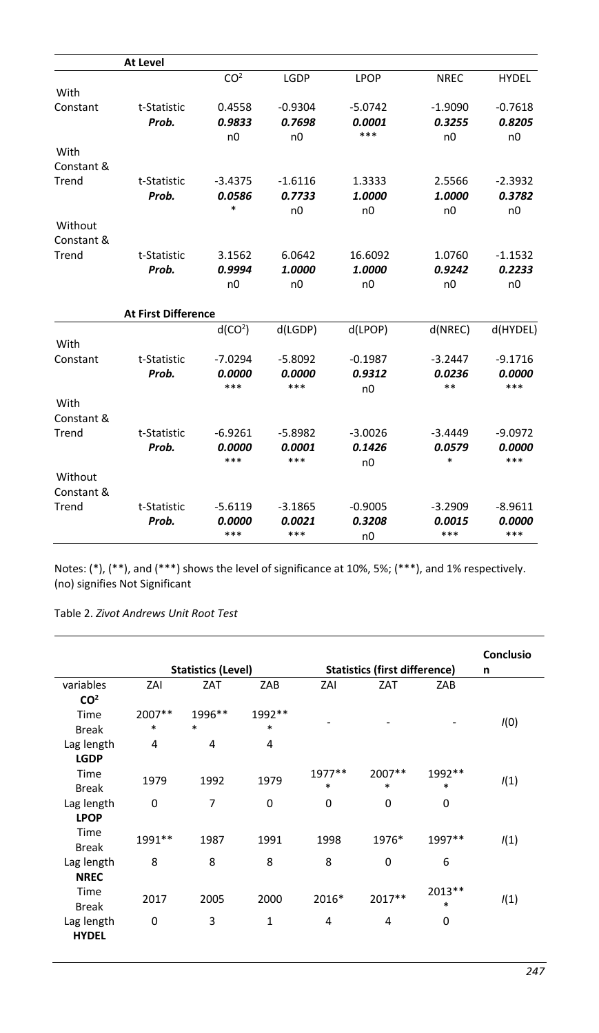|            | At Level                   |                     |                |                |                |              |
|------------|----------------------------|---------------------|----------------|----------------|----------------|--------------|
|            |                            | CO <sup>2</sup>     | LGDP           | <b>LPOP</b>    | <b>NREC</b>    | <b>HYDEL</b> |
| With       |                            |                     |                |                |                |              |
| Constant   | t-Statistic                | 0.4558              | $-0.9304$      | $-5.0742$      | $-1.9090$      | $-0.7618$    |
|            | Prob.                      | 0.9833              | 0.7698         | 0.0001         | 0.3255         | 0.8205       |
|            |                            | n <sub>0</sub>      | n0             | ***            | n <sub>0</sub> | n0           |
| With       |                            |                     |                |                |                |              |
| Constant & |                            |                     |                |                |                |              |
| Trend      | t-Statistic                | $-3.4375$           | $-1.6116$      | 1.3333         | 2.5566         | $-2.3932$    |
|            | Prob.                      | 0.0586              | 0.7733         | 1.0000         | 1.0000         | 0.3782       |
|            |                            | $\ast$              | n <sub>0</sub> | n <sub>0</sub> | n <sub>0</sub> | n0           |
| Without    |                            |                     |                |                |                |              |
| Constant & |                            |                     |                |                |                |              |
| Trend      | t-Statistic                | 3.1562              | 6.0642         | 16.6092        | 1.0760         | $-1.1532$    |
|            | Prob.                      | 0.9994              | 1.0000         | 1.0000         | 0.9242         | 0.2233       |
|            |                            | n0                  | n0             | n <sub>0</sub> | n <sub>0</sub> | n0           |
|            | <b>At First Difference</b> |                     |                |                |                |              |
|            |                            | d(CO <sup>2</sup> ) | d(LGDP)        | d(LPOP)        | d(NREC)        | d(HYDEL)     |
| With       |                            |                     |                |                |                |              |
| Constant   | t-Statistic                | $-7.0294$           | $-5.8092$      | $-0.1987$      | $-3.2447$      | $-9.1716$    |
|            | Prob.                      | 0.0000              | 0.0000         | 0.9312         | 0.0236         | 0.0000       |
|            |                            | ***                 | ***            | n <sub>0</sub> | **             | ***          |
| With       |                            |                     |                |                |                |              |
| Constant & |                            |                     |                |                |                |              |
| Trend      | t-Statistic                | $-6.9261$           | $-5.8982$      | $-3.0026$      | $-3.4449$      | $-9.0972$    |
|            | Prob.                      | 0.0000              | 0.0001         | 0.1426         | 0.0579         | 0.0000       |
|            |                            | ***                 | ***            | n <sub>0</sub> | *              | ***          |
| Without    |                            |                     |                |                |                |              |
| Constant & |                            |                     |                |                |                |              |
| Trend      | t-Statistic                | $-5.6119$           | $-3.1865$      | $-0.9005$      | $-3.2909$      | $-8.9611$    |
|            | Prob.                      | 0.0000              | 0.0021         | 0.3208         | 0.0015         | 0.0000       |
|            |                            | ***                 | ***            | n <sub>0</sub> | ***            | ***          |

Notes: (\*), (\*\*), and (\*\*\*) shows the level of significance at 10%, 5%; (\*\*\*), and 1% respectively. (no) signifies Not Significant

Table 2. *Zivot Andrews Unit Root Test*

|                 |                |                           |              |        |                                      |        | Conclusio |
|-----------------|----------------|---------------------------|--------------|--------|--------------------------------------|--------|-----------|
|                 |                | <b>Statistics (Level)</b> |              |        | <b>Statistics (first difference)</b> |        | n         |
| variables       | ZAI            | ZAT                       | ZAB          | ZAI    | ZAT                                  | ZAB    |           |
| CO <sup>2</sup> |                |                           |              |        |                                      |        |           |
| Time            | 2007**         | 1996**                    | 1992**       |        |                                      |        |           |
| <b>Break</b>    | *              | $\ast$                    | *            |        |                                      |        | I(0)      |
| Lag length      | $\overline{4}$ | 4                         | 4            |        |                                      |        |           |
| <b>LGDP</b>     |                |                           |              |        |                                      |        |           |
| Time            |                |                           |              | 1977** | 2007**                               | 1992** |           |
| <b>Break</b>    | 1979           | 1992                      | 1979         | $\ast$ | $\ast$                               | $\ast$ | 1(1)      |
| Lag length      | $\mathbf 0$    | 7                         | $\mathbf 0$  | 0      | 0                                    | 0      |           |
| <b>LPOP</b>     |                |                           |              |        |                                      |        |           |
| Time            |                |                           |              |        |                                      |        |           |
| <b>Break</b>    | 1991 **        | 1987                      | 1991         | 1998   | 1976*                                | 1997** | 1(1)      |
| Lag length      | 8              | 8                         | 8            | 8      | 0                                    | 6      |           |
| <b>NREC</b>     |                |                           |              |        |                                      |        |           |
| Time            |                |                           |              |        |                                      | 2013** |           |
| <b>Break</b>    | 2017           | 2005                      | 2000         | 2016*  | 2017**                               | *      | 1(1)      |
| Lag length      | 0              | 3                         | $\mathbf{1}$ | 4      | 4                                    | 0      |           |
| <b>HYDEL</b>    |                |                           |              |        |                                      |        |           |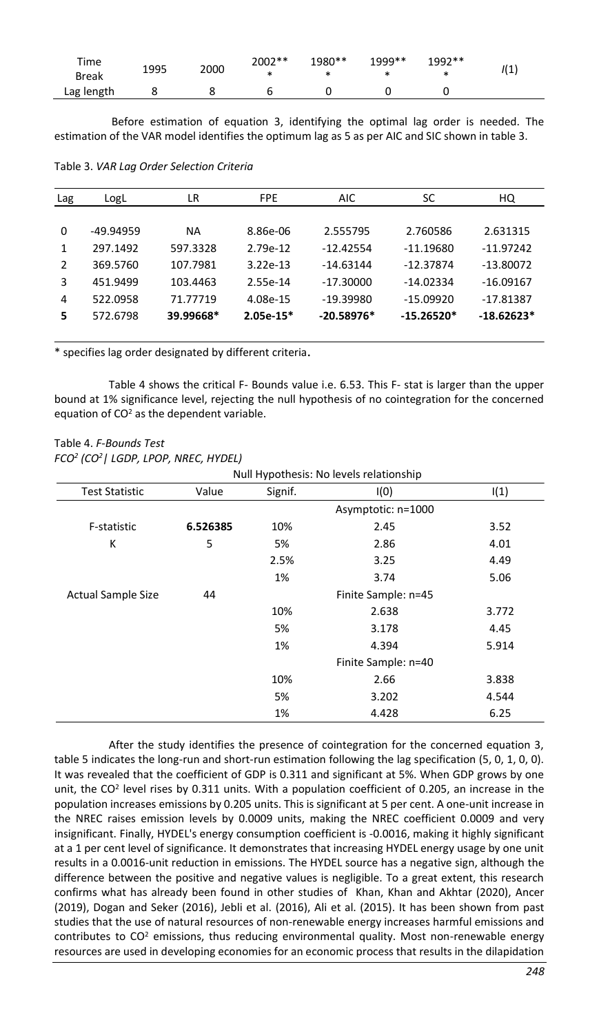| Time<br><b>Break</b> | 1995 | 2000 | 2002** | 1980**<br>* | 1999** | 1992** | 111<br>. ۲. |
|----------------------|------|------|--------|-------------|--------|--------|-------------|
| Lag length           |      |      |        |             |        |        |             |

Before estimation of equation 3, identifying the optimal lag order is needed. The estimation of the VAR model identifies the optimum lag as 5 as per AIC and SIC shown in table 3.

Table 3. *VAR Lag Order Selection Criteria*

| Lag      | LogL      | LR        | <b>FPE</b>  | <b>AIC</b>   | SC           | HQ           |
|----------|-----------|-----------|-------------|--------------|--------------|--------------|
|          |           |           |             |              |              |              |
| $\Omega$ | -49.94959 | <b>NA</b> | 8.86e-06    | 2.555795     | 2.760586     | 2.631315     |
| 1        | 297.1492  | 597.3328  | 2.79e-12    | $-12.42554$  | $-11.19680$  | $-11.97242$  |
| 2        | 369.5760  | 107.7981  | $3.22e-13$  | $-14.63144$  | $-12.37874$  | $-13.80072$  |
| 3        | 451.9499  | 103.4463  | 2.55e-14    | $-17.30000$  | $-14.02334$  | $-16.09167$  |
| 4        | 522.0958  | 71.77719  | 4.08e-15    | $-19.39980$  | $-15.09920$  | $-17.81387$  |
| 5        | 572.6798  | 39.99668* | $2.05e-15*$ | $-20.58976*$ | $-15.26520*$ | $-18.62623*$ |
|          |           |           |             |              |              |              |

\* specifies lag order designated by different criteria.

Table 4 shows the critical F- Bounds value i.e. 6.53. This F- stat is larger than the upper bound at 1% significance level, rejecting the null hypothesis of no cointegration for the concerned equation of  $CO<sup>2</sup>$  as the dependent variable.

# Table 4. *F-Bounds Test FCO<sup>2</sup> (CO<sup>2</sup>| LGDP, LPOP, NREC, HYDEL)*

|                           | Null Hypothesis: No levels relationship |                     |                     |       |  |  |
|---------------------------|-----------------------------------------|---------------------|---------------------|-------|--|--|
| <b>Test Statistic</b>     | Value                                   | Signif.             | I(0)                | I(1)  |  |  |
|                           |                                         |                     | Asymptotic: n=1000  |       |  |  |
| F-statistic               | 6.526385                                | 10%                 | 2.45                | 3.52  |  |  |
| К                         | 5                                       | 5%                  | 2.86                | 4.01  |  |  |
|                           |                                         | 2.5%                | 3.25                | 4.49  |  |  |
|                           |                                         | 1%                  | 3.74                | 5.06  |  |  |
| <b>Actual Sample Size</b> | 44                                      | Finite Sample: n=45 |                     |       |  |  |
|                           |                                         | 10%                 | 2.638               | 3.772 |  |  |
|                           |                                         | 5%                  | 3.178               | 4.45  |  |  |
|                           |                                         | 1%                  | 4.394               | 5.914 |  |  |
|                           |                                         |                     | Finite Sample: n=40 |       |  |  |
|                           |                                         | 10%                 | 2.66                | 3.838 |  |  |
|                           |                                         | 5%                  | 3.202               | 4.544 |  |  |
|                           |                                         | 1%                  | 4.428               | 6.25  |  |  |

After the study identifies the presence of cointegration for the concerned equation 3, table 5 indicates the long-run and short-run estimation following the lag specification (5, 0, 1, 0, 0). It was revealed that the coefficient of GDP is 0.311 and significant at 5%. When GDP grows by one unit, the CO<sup>2</sup> level rises by 0.311 units. With a population coefficient of 0.205, an increase in the population increases emissions by 0.205 units. This is significant at 5 per cent. A one-unit increase in the NREC raises emission levels by 0.0009 units, making the NREC coefficient 0.0009 and very insignificant. Finally, HYDEL's energy consumption coefficient is -0.0016, making it highly significant at a 1 per cent level of significance. It demonstrates that increasing HYDEL energy usage by one unit results in a 0.0016-unit reduction in emissions. The HYDEL source has a negative sign, although the difference between the positive and negative values is negligible. To a great extent, this research confirms what has already been found in other studies of Khan, Khan and Akhtar (2020), Ancer (2019), Dogan and Seker (2016), Jebli et al. (2016), Ali et al. (2015). It has been shown from past studies that the use of natural resources of non-renewable energy increases harmful emissions and contributes to  $CO<sup>2</sup>$  emissions, thus reducing environmental quality. Most non-renewable energy resources are used in developing economies for an economic process that results in the dilapidation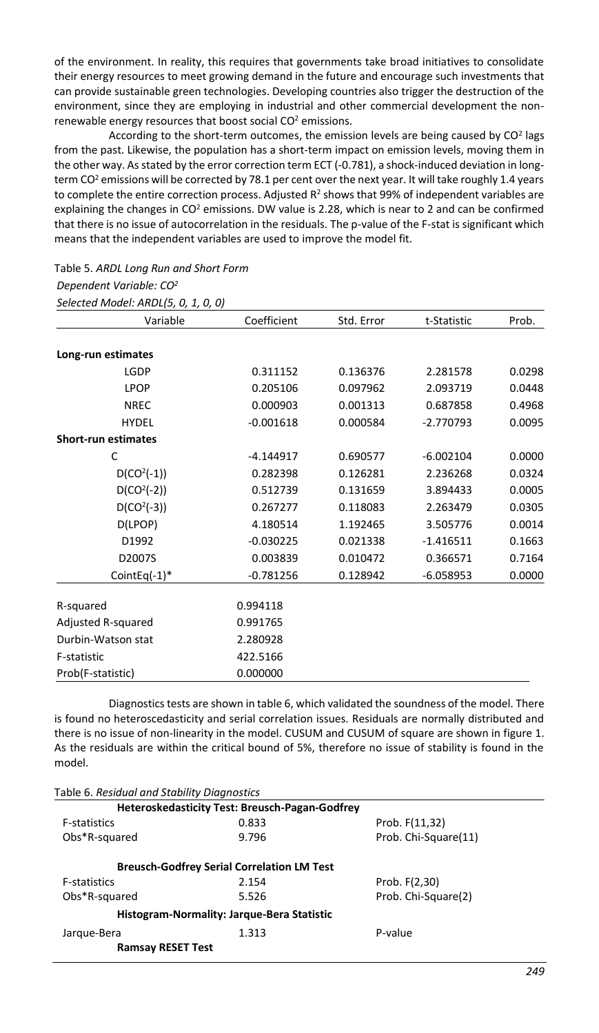of the environment. In reality, this requires that governments take broad initiatives to consolidate their energy resources to meet growing demand in the future and encourage such investments that can provide sustainable green technologies. Developing countries also trigger the destruction of the environment, since they are employing in industrial and other commercial development the nonrenewable energy resources that boost social  $CO<sup>2</sup>$  emissions.

According to the short-term outcomes, the emission levels are being caused by  $CO<sup>2</sup>$  lags from the past. Likewise, the population has a short-term impact on emission levels, moving them in the other way. As stated by the error correction term ECT (-0.781), a shock-induced deviation in longterm CO<sup>2</sup> emissions will be corrected by 78.1 per cent over the next year. It will take roughly 1.4 years to complete the entire correction process. Adjusted  $R^2$  shows that 99% of independent variables are explaining the changes in CO<sup>2</sup> emissions. DW value is 2.28, which is near to 2 and can be confirmed that there is no issue of autocorrelation in the residuals. The p-value of the F-stat is significant which means that the independent variables are used to improve the model fit.

# Table 5. *ARDL Long Run and Short Form*

*Dependent Variable: CO<sup>2</sup>*

*Selected Model: ARDL(5, 0, 1, 0, 0)*

| Variable                   | Coefficient | Std. Error | t-Statistic | Prob.  |
|----------------------------|-------------|------------|-------------|--------|
| Long-run estimates         |             |            |             |        |
| LGDP                       | 0.311152    | 0.136376   | 2.281578    | 0.0298 |
| LPOP                       | 0.205106    | 0.097962   | 2.093719    | 0.0448 |
| <b>NREC</b>                | 0.000903    | 0.001313   | 0.687858    | 0.4968 |
| <b>HYDEL</b>               | $-0.001618$ | 0.000584   | $-2.770793$ | 0.0095 |
| <b>Short-run estimates</b> |             |            |             |        |
| C                          | $-4.144917$ | 0.690577   | $-6.002104$ | 0.0000 |
| $D(CO2(-1))$               | 0.282398    | 0.126281   | 2.236268    | 0.0324 |
| $D(CO2(-2))$               | 0.512739    | 0.131659   | 3.894433    | 0.0005 |
| $D(CO2(-3))$               | 0.267277    | 0.118083   | 2.263479    | 0.0305 |
| D(LPOP)                    | 4.180514    | 1.192465   | 3.505776    | 0.0014 |
| D1992                      | $-0.030225$ | 0.021338   | $-1.416511$ | 0.1663 |
| D2007S                     | 0.003839    | 0.010472   | 0.366571    | 0.7164 |
| CointEq $(-1)^*$           | $-0.781256$ | 0.128942   | $-6.058953$ | 0.0000 |
| R-squared                  | 0.994118    |            |             |        |
| Adjusted R-squared         | 0.991765    |            |             |        |
| Durbin-Watson stat         | 2.280928    |            |             |        |
| F-statistic                | 422.5166    |            |             |        |
| Prob(F-statistic)          | 0.000000    |            |             |        |

Diagnostics tests are shown in table 6, which validated the soundness of the model. There is found no heteroscedasticity and serial correlation issues. Residuals are normally distributed and there is no issue of non-linearity in the model. CUSUM and CUSUM of square are shown in figure 1. As the residuals are within the critical bound of 5%, therefore no issue of stability is found in the model.

|  |  | Table 6. Residual and Stability Diagnostics |  |
|--|--|---------------------------------------------|--|
|--|--|---------------------------------------------|--|

|                                            | Heteroskedasticity Test: Breusch-Pagan-Godfrev    |                      |
|--------------------------------------------|---------------------------------------------------|----------------------|
| <b>F-statistics</b>                        | 0.833                                             | Prob. F(11,32)       |
| Obs*R-squared                              | 9.796                                             | Prob. Chi-Square(11) |
|                                            | <b>Breusch-Godfrey Serial Correlation LM Test</b> |                      |
| <b>F-statistics</b>                        | 2.154                                             | Prob. F(2,30)        |
| Obs*R-squared                              | 5.526                                             | Prob. Chi-Square(2)  |
| Histogram-Normality: Jarque-Bera Statistic |                                                   |                      |
| Jarque-Bera                                | 1.313                                             | P-value              |
| <b>Ramsay RESET Test</b>                   |                                                   |                      |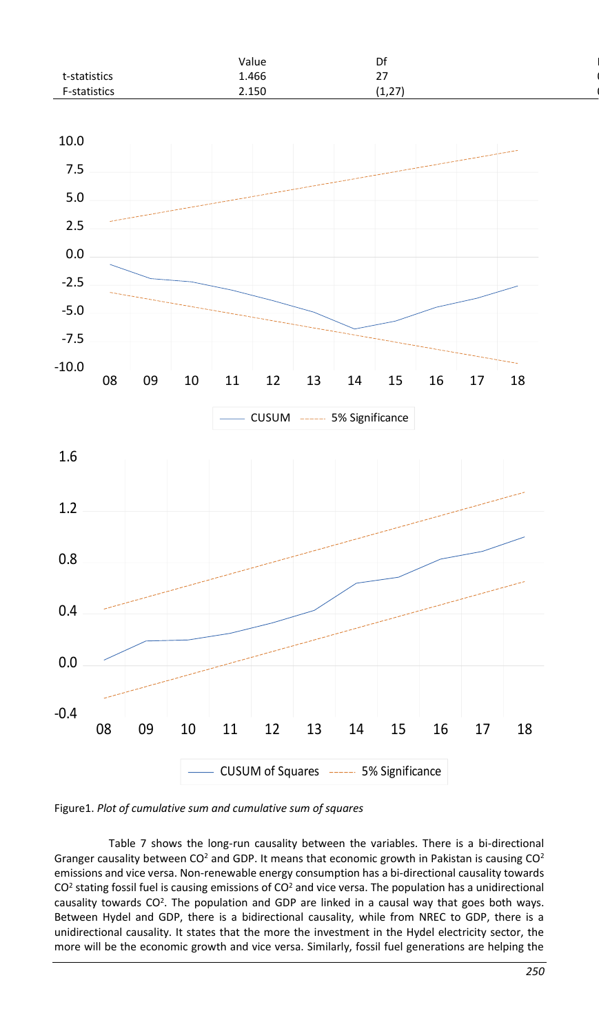|                     | Value | Df                   |
|---------------------|-------|----------------------|
| t-statistics        | 1.466 | $\sim$<br>$\epsilon$ |
| <b>F-statistics</b> | 2.150 | (1,27)               |



Figure1. *Plot of cumulative sum and cumulative sum of squares*

Table 7 shows the long-run causality between the variables. There is a bi-directional Granger causality between CO<sup>2</sup> and GDP. It means that economic growth in Pakistan is causing  $CO<sup>2</sup>$ emissions and vice versa. Non-renewable energy consumption has a bi-directional causality towards  $CO<sup>2</sup>$  stating fossil fuel is causing emissions of  $CO<sup>2</sup>$  and vice versa. The population has a unidirectional causality towards CO<sup>2</sup>. The population and GDP are linked in a causal way that goes both ways. Between Hydel and GDP, there is a bidirectional causality, while from NREC to GDP, there is a unidirectional causality. It states that the more the investment in the Hydel electricity sector, the more will be the economic growth and vice versa. Similarly, fossil fuel generations are helping the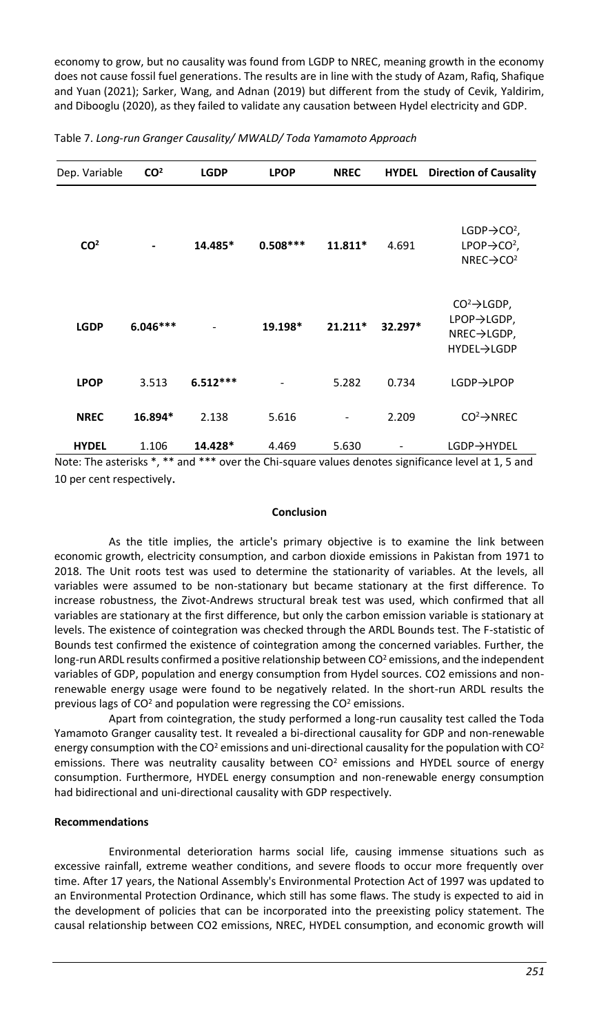economy to grow, but no causality was found from LGDP to NREC, meaning growth in the economy does not cause fossil fuel generations. The results are in line with the study of Azam, Rafiq, Shafique and Yuan (2021); Sarker, Wang, and Adnan (2019) but different from the study of Cevik, Yaldirim, and Dibooglu (2020), as they failed to validate any causation between Hydel electricity and GDP.

| Dep. Variable   | CO <sup>2</sup> | <b>LGDP</b> | <b>LPOP</b> | <b>NREC</b> | <b>HYDEL</b> | <b>Direction of Causality</b>                                                                           |
|-----------------|-----------------|-------------|-------------|-------------|--------------|---------------------------------------------------------------------------------------------------------|
| CO <sup>2</sup> |                 | 14.485*     | $0.508***$  | 11.811*     | 4.691        | LGDP $\rightarrow$ CO <sup>2</sup> ,<br>$LPOP \rightarrow CO^2$ ,<br>NREC $\rightarrow$ CO <sup>2</sup> |
| <b>LGDP</b>     | $6.046***$      |             | 19.198*     | $21.211*$   | 32.297*      | $CO^2 \rightarrow$ LGDP,<br>LPOP→LGDP,<br>NREC→LGDP,<br>HYDEL→LGDP                                      |
| <b>LPOP</b>     | 3.513           | $6.512***$  |             | 5.282       | 0.734        | <b>LGDP→LPOP</b>                                                                                        |
| <b>NREC</b>     | 16.894*         | 2.138       | 5.616       |             | 2.209        | $CO^2 \rightarrow NREC$                                                                                 |
| <b>HYDEL</b>    | 1.106           | 14.428*     | 4.469       | 5.630       |              | LGDP→HYDEL                                                                                              |

#### Table 7. *Long-run Granger Causality/ MWALD/ Toda Yamamoto Approach*

Note: The asterisks \*, \*\* and \*\*\* over the Chi-square values denotes significance level at 1, 5 and 10 per cent respectively.

#### **Conclusion**

As the title implies, the article's primary objective is to examine the link between economic growth, electricity consumption, and carbon dioxide emissions in Pakistan from 1971 to 2018. The Unit roots test was used to determine the stationarity of variables. At the levels, all variables were assumed to be non-stationary but became stationary at the first difference. To increase robustness, the Zivot-Andrews structural break test was used, which confirmed that all variables are stationary at the first difference, but only the carbon emission variable is stationary at levels. The existence of cointegration was checked through the ARDL Bounds test. The F-statistic of Bounds test confirmed the existence of cointegration among the concerned variables. Further, the long-run ARDL results confirmed a positive relationship between CO<sup>2</sup> emissions, and the independent variables of GDP, population and energy consumption from Hydel sources. CO2 emissions and nonrenewable energy usage were found to be negatively related. In the short-run ARDL results the previous lags of  $CO<sup>2</sup>$  and population were regressing the  $CO<sup>2</sup>$  emissions.

Apart from cointegration, the study performed a long-run causality test called the Toda Yamamoto Granger causality test. It revealed a bi-directional causality for GDP and non-renewable energy consumption with the CO<sup>2</sup> emissions and uni-directional causality for the population with CO<sup>2</sup> emissions. There was neutrality causality between  $CO<sup>2</sup>$  emissions and HYDEL source of energy consumption. Furthermore, HYDEL energy consumption and non-renewable energy consumption had bidirectional and uni-directional causality with GDP respectively.

#### **Recommendations**

Environmental deterioration harms social life, causing immense situations such as excessive rainfall, extreme weather conditions, and severe floods to occur more frequently over time. After 17 years, the National Assembly's Environmental Protection Act of 1997 was updated to an Environmental Protection Ordinance, which still has some flaws. The study is expected to aid in the development of policies that can be incorporated into the preexisting policy statement. The causal relationship between CO2 emissions, NREC, HYDEL consumption, and economic growth will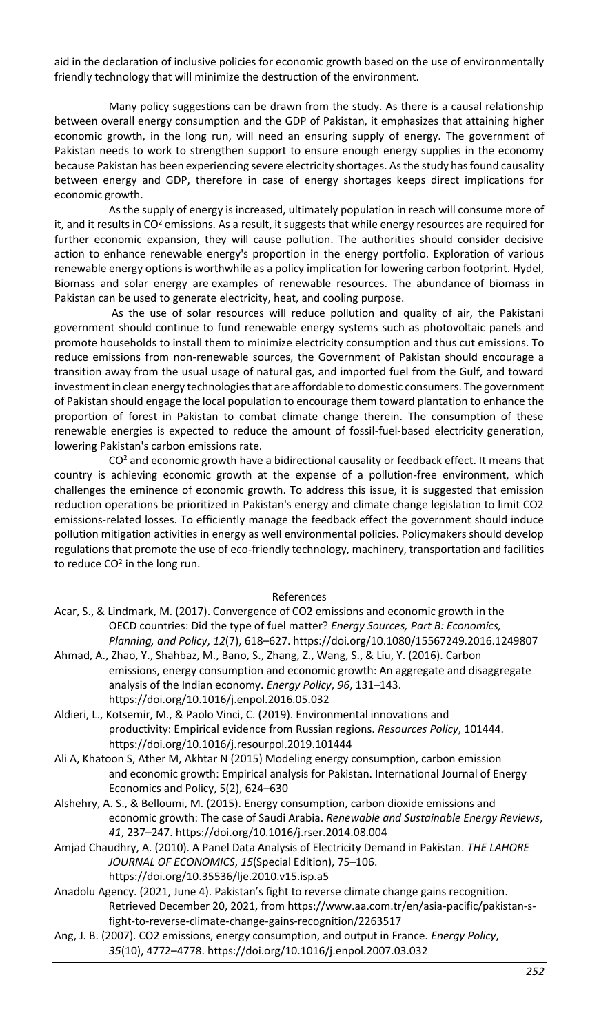aid in the declaration of inclusive policies for economic growth based on the use of environmentally friendly technology that will minimize the destruction of the environment.

Many policy suggestions can be drawn from the study. As there is a causal relationship between overall energy consumption and the GDP of Pakistan, it emphasizes that attaining higher economic growth, in the long run, will need an ensuring supply of energy. The government of Pakistan needs to work to strengthen support to ensure enough energy supplies in the economy because Pakistan has been experiencing severe electricity shortages. As the study has found causality between energy and GDP, therefore in case of energy shortages keeps direct implications for economic growth.

As the supply of energy is increased, ultimately population in reach will consume more of it, and it results in CO<sup>2</sup> emissions. As a result, it suggests that while energy resources are required for further economic expansion, they will cause pollution. The authorities should consider decisive action to enhance renewable energy's proportion in the energy portfolio. Exploration of various renewable energy options is worthwhile as a policy implication for lowering carbon footprint. Hydel, Biomass and solar energy are examples of renewable resources. The abundance of biomass in Pakistan can be used to generate electricity, heat, and cooling purpose.

As the use of solar resources will reduce pollution and quality of air, the Pakistani government should continue to fund renewable energy systems such as photovoltaic panels and promote households to install them to minimize electricity consumption and thus cut emissions. To reduce emissions from non-renewable sources, the Government of Pakistan should encourage a transition away from the usual usage of natural gas, and imported fuel from the Gulf, and toward investment in clean energy technologies that are affordable to domestic consumers. The government of Pakistan should engage the local population to encourage them toward plantation to enhance the proportion of forest in Pakistan to combat climate change therein. The consumption of these renewable energies is expected to reduce the amount of fossil-fuel-based electricity generation, lowering Pakistan's carbon emissions rate.

 $CO<sup>2</sup>$  and economic growth have a bidirectional causality or feedback effect. It means that country is achieving economic growth at the expense of a pollution-free environment, which challenges the eminence of economic growth. To address this issue, it is suggested that emission reduction operations be prioritized in Pakistan's energy and climate change legislation to limit CO2 emissions-related losses. To efficiently manage the feedback effect the government should induce pollution mitigation activities in energy as well environmental policies. Policymakers should develop regulations that promote the use of eco-friendly technology, machinery, transportation and facilities to reduce CO<sup>2</sup> in the long run.

#### References

- Acar, S., & Lindmark, M. (2017). Convergence of CO2 emissions and economic growth in the OECD countries: Did the type of fuel matter? *Energy Sources, Part B: Economics, Planning, and Policy*, *12*(7), 618–627. https://doi.org/10.1080/15567249.2016.1249807
- Ahmad, A., Zhao, Y., Shahbaz, M., Bano, S., Zhang, Z., Wang, S., & Liu, Y. (2016). Carbon emissions, energy consumption and economic growth: An aggregate and disaggregate analysis of the Indian economy. *Energy Policy*, *96*, 131–143. https://doi.org/10.1016/j.enpol.2016.05.032
- Aldieri, L., Kotsemir, M., & Paolo Vinci, C. (2019). Environmental innovations and productivity: Empirical evidence from Russian regions. *Resources Policy*, 101444. https://doi.org/10.1016/j.resourpol.2019.101444
- Ali A, Khatoon S, Ather M, Akhtar N (2015) Modeling energy consumption, carbon emission and economic growth: Empirical analysis for Pakistan. International Journal of Energy Economics and Policy, 5(2), 624–630
- Alshehry, A. S., & Belloumi, M. (2015). Energy consumption, carbon dioxide emissions and economic growth: The case of Saudi Arabia. *Renewable and Sustainable Energy Reviews*, *41*, 237–247[. https://doi.org/10.1016/j.rser.2014.08.004](https://doi.org/10.1016/j.rser.2014.08.004)
- Amjad Chaudhry, A. (2010). A Panel Data Analysis of Electricity Demand in Pakistan. *THE LAHORE JOURNAL OF ECONOMICS*, *15*(Special Edition), 75–106. https://doi.org/10.35536/lje.2010.v15.isp.a5
- Anadolu Agency. (2021, June 4). Pakistan's fight to reverse climate change gains recognition. Retrieved December 20, 2021, from https://www.aa.com.tr/en/asia-pacific/pakistan-sfight-to-reverse-climate-change-gains-recognition/2263517
- Ang, J. B. (2007). CO2 emissions, energy consumption, and output in France. *Energy Policy*, *35*(10), 4772–4778[. https://doi.org/10.1016/j.enpol.2007.03.032](https://doi.org/10.1016/j.enpol.2007.03.032)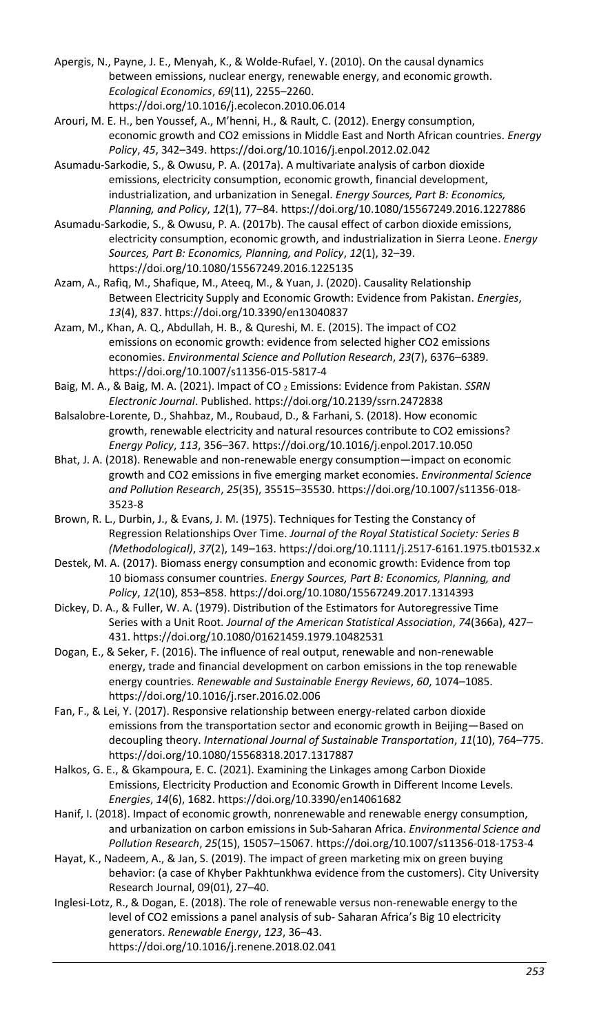- Apergis, N., Payne, J. E., Menyah, K., & Wolde-Rufael, Y. (2010). On the causal dynamics between emissions, nuclear energy, renewable energy, and economic growth. *Ecological Economics*, *69*(11), 2255–2260. https://doi.org/10.1016/j.ecolecon.2010.06.014
- Arouri, M. E. H., ben Youssef, A., M'henni, H., & Rault, C. (2012). Energy consumption, economic growth and CO2 emissions in Middle East and North African countries. *Energy Policy*, *45*, 342–349. https://doi.org/10.1016/j.enpol.2012.02.042
- Asumadu-Sarkodie, S., & Owusu, P. A. (2017a). A multivariate analysis of carbon dioxide emissions, electricity consumption, economic growth, financial development, industrialization, and urbanization in Senegal. *Energy Sources, Part B: Economics, Planning, and Policy*, *12*(1), 77–84. https://doi.org/10.1080/15567249.2016.1227886
- Asumadu-Sarkodie, S., & Owusu, P. A. (2017b). The causal effect of carbon dioxide emissions, electricity consumption, economic growth, and industrialization in Sierra Leone. *Energy Sources, Part B: Economics, Planning, and Policy*, *12*(1), 32–39. https://doi.org/10.1080/15567249.2016.1225135
- Azam, A., Rafiq, M., Shafique, M., Ateeq, M., & Yuan, J. (2020). Causality Relationship Between Electricity Supply and Economic Growth: Evidence from Pakistan. *Energies*, *13*(4), 837. https://doi.org/10.3390/en13040837
- Azam, M., Khan, A. Q., Abdullah, H. B., & Qureshi, M. E. (2015). The impact of CO2 emissions on economic growth: evidence from selected higher CO2 emissions economies. *Environmental Science and Pollution Research*, *23*(7), 6376–6389. https://doi.org/10.1007/s11356-015-5817-4
- Baig, M. A., & Baig, M. A. (2021). Impact of CO <sup>2</sup> Emissions: Evidence from Pakistan. *SSRN Electronic Journal*. Published. https://doi.org/10.2139/ssrn.2472838
- Balsalobre-Lorente, D., Shahbaz, M., Roubaud, D., & Farhani, S. (2018). How economic growth, renewable electricity and natural resources contribute to CO2 emissions? *Energy Policy*, *113*, 356–367. https://doi.org/10.1016/j.enpol.2017.10.050
- Bhat, J. A. (2018). Renewable and non-renewable energy consumption—impact on economic growth and CO2 emissions in five emerging market economies. *Environmental Science and Pollution Research*, *25*(35), 35515–35530. https://doi.org/10.1007/s11356-018- 3523-8
- Brown, R. L., Durbin, J., & Evans, J. M. (1975). Techniques for Testing the Constancy of Regression Relationships Over Time. *Journal of the Royal Statistical Society: Series B (Methodological)*, *37*(2), 149–163. https://doi.org/10.1111/j.2517-6161.1975.tb01532.x
- Destek, M. A. (2017). Biomass energy consumption and economic growth: Evidence from top 10 biomass consumer countries. *Energy Sources, Part B: Economics, Planning, and Policy*, *12*(10), 853–858. https://doi.org/10.1080/15567249.2017.1314393
- Dickey, D. A., & Fuller, W. A. (1979). Distribution of the Estimators for Autoregressive Time Series with a Unit Root. *Journal of the American Statistical Association*, *74*(366a), 427– 431. https://doi.org/10.1080/01621459.1979.10482531
- Dogan, E., & Seker, F. (2016). The influence of real output, renewable and non-renewable energy, trade and financial development on carbon emissions in the top renewable energy countries. *Renewable and Sustainable Energy Reviews*, *60*, 1074–1085. https://doi.org/10.1016/j.rser.2016.02.006
- Fan, F., & Lei, Y. (2017). Responsive relationship between energy-related carbon dioxide emissions from the transportation sector and economic growth in Beijing—Based on decoupling theory. *International Journal of Sustainable Transportation*, *11*(10), 764–775. https://doi.org/10.1080/15568318.2017.1317887
- Halkos, G. E., & Gkampoura, E. C. (2021). Examining the Linkages among Carbon Dioxide Emissions, Electricity Production and Economic Growth in Different Income Levels. *Energies*, *14*(6), 1682. https://doi.org/10.3390/en14061682
- Hanif, I. (2018). Impact of economic growth, nonrenewable and renewable energy consumption, and urbanization on carbon emissions in Sub-Saharan Africa. *Environmental Science and Pollution Research*, *25*(15), 15057–15067. https://doi.org/10.1007/s11356-018-1753-4
- Hayat, K., Nadeem, A., & Jan, S. (2019). The impact of green marketing mix on green buying behavior: (a case of Khyber Pakhtunkhwa evidence from the customers). City University Research Journal, 09(01), 27–40.
- Inglesi-Lotz, R., & Dogan, E. (2018). The role of renewable versus non-renewable energy to the level of CO2 emissions a panel analysis of sub- Saharan Africa's Βig 10 electricity generators. *Renewable Energy*, *123*, 36–43. https://doi.org/10.1016/j.renene.2018.02.041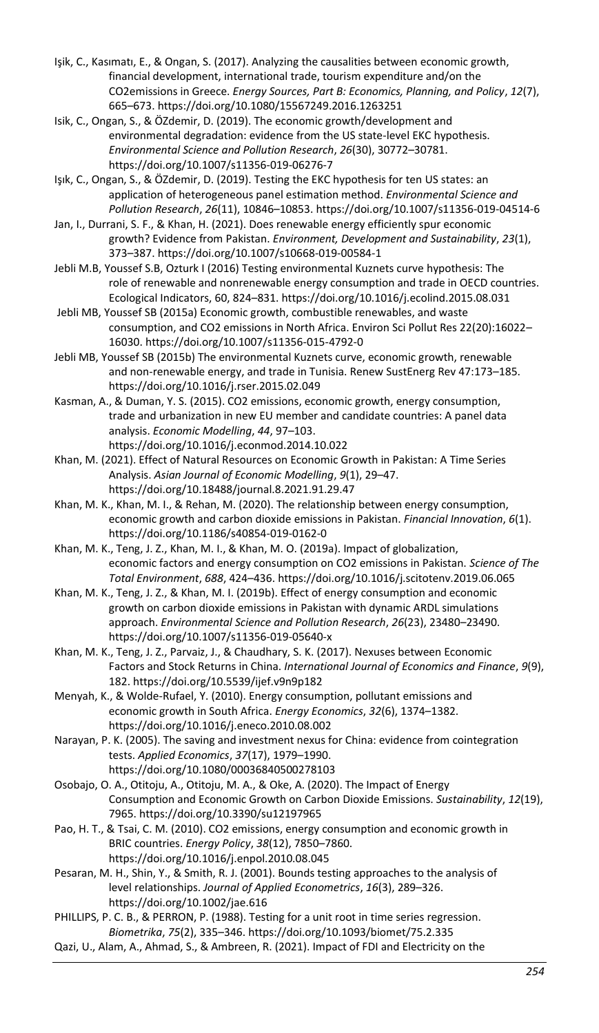- Işik, C., Kasımatı, E., & Ongan, S. (2017). Analyzing the causalities between economic growth, financial development, international trade, tourism expenditure and/on the CO2emissions in Greece. *Energy Sources, Part B: Economics, Planning, and Policy*, *12*(7), 665–673. https://doi.org/10.1080/15567249.2016.1263251
- Isik, C., Ongan, S., & ÖZdemir, D. (2019). The economic growth/development and environmental degradation: evidence from the US state-level EKC hypothesis. *Environmental Science and Pollution Research*, *26*(30), 30772–30781. https://doi.org/10.1007/s11356-019-06276-7
- Işık, C., Ongan, S., & ÖZdemir, D. (2019). Testing the EKC hypothesis for ten US states: an application of heterogeneous panel estimation method. *Environmental Science and Pollution Research*, *26*(11), 10846–10853. https://doi.org/10.1007/s11356-019-04514-6
- Jan, I., Durrani, S. F., & Khan, H. (2021). Does renewable energy efficiently spur economic growth? Evidence from Pakistan. *Environment, Development and Sustainability*, *23*(1), 373–387. https://doi.org/10.1007/s10668-019-00584-1
- Jebli M.B, Youssef S.B, Ozturk I (2016) Testing environmental Kuznets curve hypothesis: The role of renewable and nonrenewable energy consumption and trade in OECD countries. Ecological Indicators, 60, 824–831. https://doi.org/10.1016/j.ecolind.2015.08.031
- Jebli MB, Youssef SB (2015a) Economic growth, combustible renewables, and waste consumption, and CO2 emissions in North Africa. Environ Sci Pollut Res 22(20):16022– 16030[. https://doi.org/10.1007/s11356-015-4792-0](https://doi.org/10.1007/s11356-015-4792-0)
- Jebli MB, Youssef SB (2015b) The environmental Kuznets curve, economic growth, renewable and non-renewable energy, and trade in Tunisia. Renew SustEnerg Rev 47:173–185. https://doi.org/10.1016/j.rser.2015.02.049
- Kasman, A., & Duman, Y. S. (2015). CO2 emissions, economic growth, energy consumption, trade and urbanization in new EU member and candidate countries: A panel data analysis. *Economic Modelling*, *44*, 97–103. https://doi.org/10.1016/j.econmod.2014.10.022
- Khan, M. (2021). Effect of Natural Resources on Economic Growth in Pakistan: A Time Series Analysis. *Asian Journal of Economic Modelling*, *9*(1), 29–47. https://doi.org/10.18488/journal.8.2021.91.29.47
- Khan, M. K., Khan, M. I., & Rehan, M. (2020). The relationship between energy consumption, economic growth and carbon dioxide emissions in Pakistan. *Financial Innovation*, *6*(1). https://doi.org/10.1186/s40854-019-0162-0
- Khan, M. K., Teng, J. Z., Khan, M. I., & Khan, M. O. (2019a). Impact of globalization, economic factors and energy consumption on CO2 emissions in Pakistan. *Science of The Total Environment*, *688*, 424–436. https://doi.org/10.1016/j.scitotenv.2019.06.065
- Khan, M. K., Teng, J. Z., & Khan, M. I. (2019b). Effect of energy consumption and economic growth on carbon dioxide emissions in Pakistan with dynamic ARDL simulations approach. *Environmental Science and Pollution Research*, *26*(23), 23480–23490. https://doi.org/10.1007/s11356-019-05640-x
- Khan, M. K., Teng, J. Z., Parvaiz, J., & Chaudhary, S. K. (2017). Nexuses between Economic Factors and Stock Returns in China. *International Journal of Economics and Finance*, *9*(9), 182. https://doi.org/10.5539/ijef.v9n9p182
- Menyah, K., & Wolde-Rufael, Y. (2010). Energy consumption, pollutant emissions and economic growth in South Africa. *Energy Economics*, *32*(6), 1374–1382. https://doi.org/10.1016/j.eneco.2010.08.002
- Narayan, P. K. (2005). The saving and investment nexus for China: evidence from cointegration tests. *Applied Economics*, *37*(17), 1979–1990. https://doi.org/10.1080/00036840500278103
- Osobajo, O. A., Otitoju, A., Otitoju, M. A., & Oke, A. (2020). The Impact of Energy Consumption and Economic Growth on Carbon Dioxide Emissions. *Sustainability*, *12*(19), 7965. https://doi.org/10.3390/su12197965
- Pao, H. T., & Tsai, C. M. (2010). CO2 emissions, energy consumption and economic growth in BRIC countries. *Energy Policy*, *38*(12), 7850–7860. https://doi.org/10.1016/j.enpol.2010.08.045
- Pesaran, M. H., Shin, Y., & Smith, R. J. (2001). Bounds testing approaches to the analysis of level relationships. *Journal of Applied Econometrics*, *16*(3), 289–326. https://doi.org/10.1002/jae.616
- PHILLIPS, P. C. B., & PERRON, P. (1988). Testing for a unit root in time series regression. *Biometrika*, *75*(2), 335–346. https://doi.org/10.1093/biomet/75.2.335
- Qazi, U., Alam, A., Ahmad, S., & Ambreen, R. (2021). Impact of FDI and Electricity on the